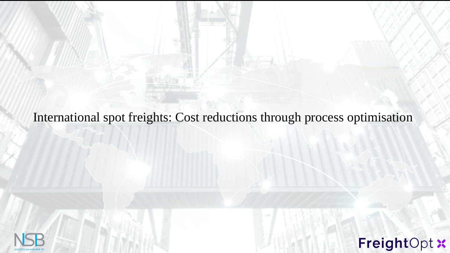### International spot freights: Cost reductions through process optimisation

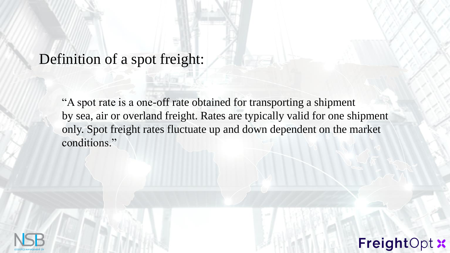## Definition of a spot freight:

"A spot rate is a one-off rate obtained for transporting a shipment by sea, air or overland freight. Rates are typically valid for one shipment only. Spot freight rates fluctuate up and down dependent on the market conditions."

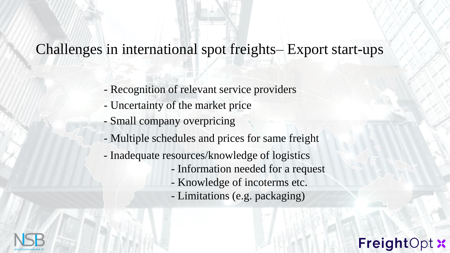# Challenges in international spot freights– Export start-ups

- Recognition of relevant service providers
- Uncertainty of the market price
- Small company overpricing
- Multiple schedules and prices for same freight
- Inadequate resources/knowledge of logistics
	- Information needed for a request

FreightOp

- Knowledge of incoterms etc.
- Limitations (e.g. packaging)

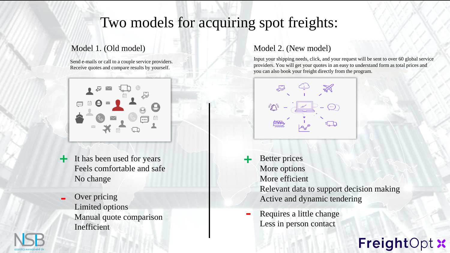## Two models for acquiring spot freights:

 $\mathbb{N}$  14.88

#### Model 1. (Old model)

Send e-mails or call to a couple service providers. Receive quotes and compare results by yourself.



- **+ +** It has been used for years Feels comfortable and safe No change
- **-** Over pricing Limited options Manual quote comparison Inefficient

#### Model 2. (New model)

Input your shipping needs, click, and your request will be sent to over 60 global service providers. You will get your quotes in an easy to understand form as total prices and you can also book your freight directly from the program.



- Better prices More options More efficient Relevant data to support decision making Active and dynamic tendering
- **-** Requires a little change Less in person contact

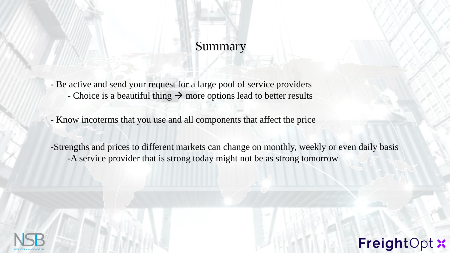### Summary

- Be active and send your request for a large pool of service providers - Choice is a beautiful thing  $\rightarrow$  more options lead to better results

- Know incoterms that you use and all components that affect the price

MTK 14.8 -Strengths and prices to different markets can change on monthly, weekly or even daily basis -A service provider that is strong today might not be as strong tomorrow